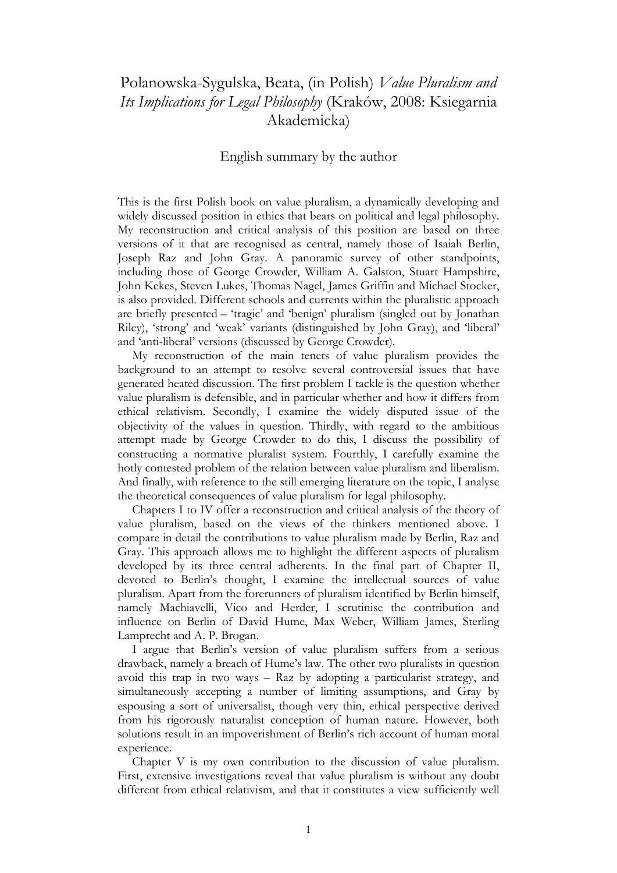## Polanowska-Sygulska, Beata, (in Polish) *Value Pluralism and Its Implications for Legal Philosophy* (Kraków, 2008: Ksiegarnia Akademicka)

## English summary by the author

This is the first Polish book on value pluralism, a dynamically developing and widely discussed position in ethics that bears on political and legal philosophy. My reconstruction and critical analysis of this position are based on three versions of it that are recognised as central, namely those of Isaiah Berlin, Joseph Raz and John Gray. A panoramic survey of other standpoints, including those of George Crowder, William A. Galston, Stuart Hampshire, John Kekes, Steven Lukes, Thomas Nagel, James Griffin and Michael Stocker, is also provided. Different schools and currents within the pluralistic approach are briefly presented – 'tragic' and 'benign' pluralism (singled out by Jonathan Riley), 'strong' and 'weak' variants (distinguished by John Gray), and 'liberal' and 'anti-liberal' versions (discussed by George Crowder).

My reconstruction of the main tenets of value pluralism provides the background to an attempt to resolve several controversial issues that have generated heated discussion. The first problem I tackle is the question whether value pluralism is defensible, and in particular whether and how it differs from ethical relativism. Secondly, I examine the widely disputed issue of the objectivity of the values in question. Thirdly, with regard to the ambitious attempt made by George Crowder to do this, I discuss the possibility of constructing a normative pluralist system. Fourthly, I carefully examine the hotly contested problem of the relation between value pluralism and liberalism. And finally, with reference to the still emerging literature on the topic, I analyse the theoretical consequences of value pluralism for legal philosophy.

Chapters I to IV offer a reconstruction and critical analysis of the theory of value pluralism, based on the views of the thinkers mentioned above. I compare in detail the contributions to value pluralism made by Berlin, Raz and Gray. This approach allows me to highlight the different aspects of pluralism developed by its three central adherents. In the final part of Chapter II, devoted to Berlin's thought, I examine the intellectual sources of value pluralism. Apart from the forerunners of pluralism identified by Berlin himself, namely Machiavelli, Vico and Herder, I scrutinise the contribution and influence on Berlin of David Hume, Max Weber, William James, Sterling Lamprecht and A. P. Brogan.

I argue that Berlin's version of value pluralism suffers from a serious drawback, namely a breach of Hume's law. The other two pluralists in question avoid this trap in two ways – Raz by adopting a particularist strategy, and simultaneously accepting a number of limiting assumptions, and Gray by espousing a sort of universalist, though very thin, ethical perspective derived from his rigorously naturalist conception of human nature. However, both solutions result in an impoverishment of Berlin's rich account of human moral experience.

Chapter V is my own contribution to the discussion of value pluralism. First, extensive investigations reveal that value pluralism is without any doubt different from ethical relativism, and that it constitutes a view sufficiently well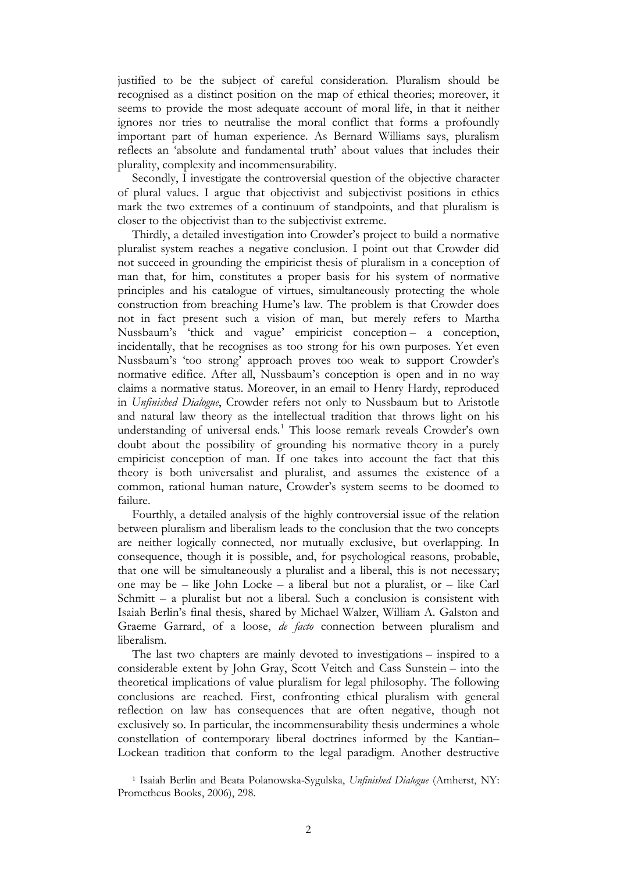justified to be the subject of careful consideration. Pluralism should be recognised as a distinct position on the map of ethical theories; moreover, it seems to provide the most adequate account of moral life, in that it neither ignores nor tries to neutralise the moral conflict that forms a profoundly important part of human experience. As Bernard Williams says, pluralism reflects an 'absolute and fundamental truth' about values that includes their plurality, complexity and incommensurability.

Secondly, I investigate the controversial question of the objective character of plural values. I argue that objectivist and subjectivist positions in ethics mark the two extremes of a continuum of standpoints, and that pluralism is closer to the objectivist than to the subjectivist extreme.

Thirdly, a detailed investigation into Crowder's project to build a normative pluralist system reaches a negative conclusion. I point out that Crowder did not succeed in grounding the empiricist thesis of pluralism in a conception of man that, for him, constitutes a proper basis for his system of normative principles and his catalogue of virtues, simultaneously protecting the whole construction from breaching Hume's law. The problem is that Crowder does not in fact present such a vision of man, but merely refers to Martha Nussbaum's 'thick and vague' empiricist conception – a conception, incidentally, that he recognises as too strong for his own purposes. Yet even Nussbaum's 'too strong' approach proves too weak to support Crowder's normative edifice. After all, Nussbaum's conception is open and in no way claims a normative status. Moreover, in an email to Henry Hardy, reproduced in *Unfinished Dialogue*, Crowder refers not only to Nussbaum but to Aristotle and natural law theory as the intellectual tradition that throws light on his understanding of universal ends.<sup>[1](#page-1-0)</sup> This loose remark reveals Crowder's own doubt about the possibility of grounding his normative theory in a purely empiricist conception of man. If one takes into account the fact that this theory is both universalist and pluralist, and assumes the existence of a common, rational human nature, Crowder's system seems to be doomed to failure.

Fourthly, a detailed analysis of the highly controversial issue of the relation between pluralism and liberalism leads to the conclusion that the two concepts are neither logically connected, nor mutually exclusive, but overlapping. In consequence, though it is possible, and, for psychological reasons, probable, that one will be simultaneously a pluralist and a liberal, this is not necessary; one may be – like John Locke – a liberal but not a pluralist, or – like Carl Schmitt – a pluralist but not a liberal. Such a conclusion is consistent with Isaiah Berlin's final thesis, shared by Michael Walzer, William A. Galston and Graeme Garrard, of a loose, *de facto* connection between pluralism and liberalism.

The last two chapters are mainly devoted to investigations – inspired to a considerable extent by John Gray, Scott Veitch and Cass Sunstein – into the theoretical implications of value pluralism for legal philosophy. The following conclusions are reached. First, confronting ethical pluralism with general reflection on law has consequences that are often negative, though not exclusively so. In particular, the incommensurability thesis undermines a whole constellation of contemporary liberal doctrines informed by the Kantian– Lockean tradition that conform to the legal paradigm. Another destructive

<span id="page-1-0"></span><sup>1</sup> Isaiah Berlin and Beata Polanowska-Sygulska, *Unfinished Dialogue* (Amherst, NY: Prometheus Books, 2006), 298.